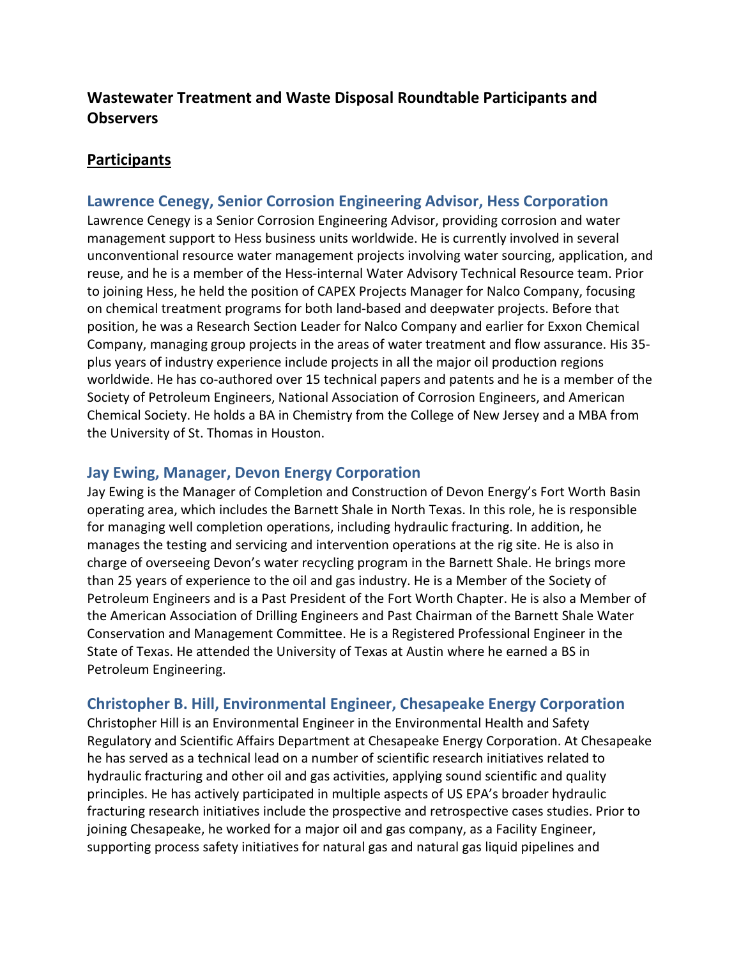## **Wastewater Treatment and Waste Disposal Roundtable Participants and Observers**

### **Participants**

#### **Lawrence Cenegy, Senior Corrosion Engineering Advisor, Hess Corporation**

Lawrence Cenegy is a Senior Corrosion Engineering Advisor, providing corrosion and water management support to Hess business units worldwide. He is currently involved in several unconventional resource water management projects involving water sourcing, application, and reuse, and he is a member of the Hess-internal Water Advisory Technical Resource team. Prior to joining Hess, he held the position of CAPEX Projects Manager for Nalco Company, focusing on chemical treatment programs for both land-based and deepwater projects. Before that position, he was a Research Section Leader for Nalco Company and earlier for Exxon Chemical Company, managing group projects in the areas of water treatment and flow assurance. His 35 plus years of industry experience include projects in all the major oil production regions worldwide. He has co-authored over 15 technical papers and patents and he is a member of the Society of Petroleum Engineers, National Association of Corrosion Engineers, and American Chemical Society. He holds a BA in Chemistry from the College of New Jersey and a MBA from the University of St. Thomas in Houston.

#### **Jay Ewing, Manager, Devon Energy Corporation**

Jay Ewing is the Manager of Completion and Construction of Devon Energy's Fort Worth Basin operating area, which includes the Barnett Shale in North Texas. In this role, he is responsible for managing well completion operations, including hydraulic fracturing. In addition, he manages the testing and servicing and intervention operations at the rig site. He is also in charge of overseeing Devon's water recycling program in the Barnett Shale. He brings more than 25 years of experience to the oil and gas industry. He is a Member of the Society of Petroleum Engineers and is a Past President of the Fort Worth Chapter. He is also a Member of the American Association of Drilling Engineers and Past Chairman of the Barnett Shale Water Conservation and Management Committee. He is a Registered Professional Engineer in the State of Texas. He attended the University of Texas at Austin where he earned a BS in Petroleum Engineering.

#### **Christopher B. Hill, Environmental Engineer, Chesapeake Energy Corporation**

Christopher Hill is an Environmental Engineer in the Environmental Health and Safety Regulatory and Scientific Affairs Department at Chesapeake Energy Corporation. At Chesapeake he has served as a technical lead on a number of scientific research initiatives related to hydraulic fracturing and other oil and gas activities, applying sound scientific and quality principles. He has actively participated in multiple aspects of US EPA's broader hydraulic fracturing research initiatives include the prospective and retrospective cases studies. Prior to joining Chesapeake, he worked for a major oil and gas company, as a Facility Engineer, supporting process safety initiatives for natural gas and natural gas liquid pipelines and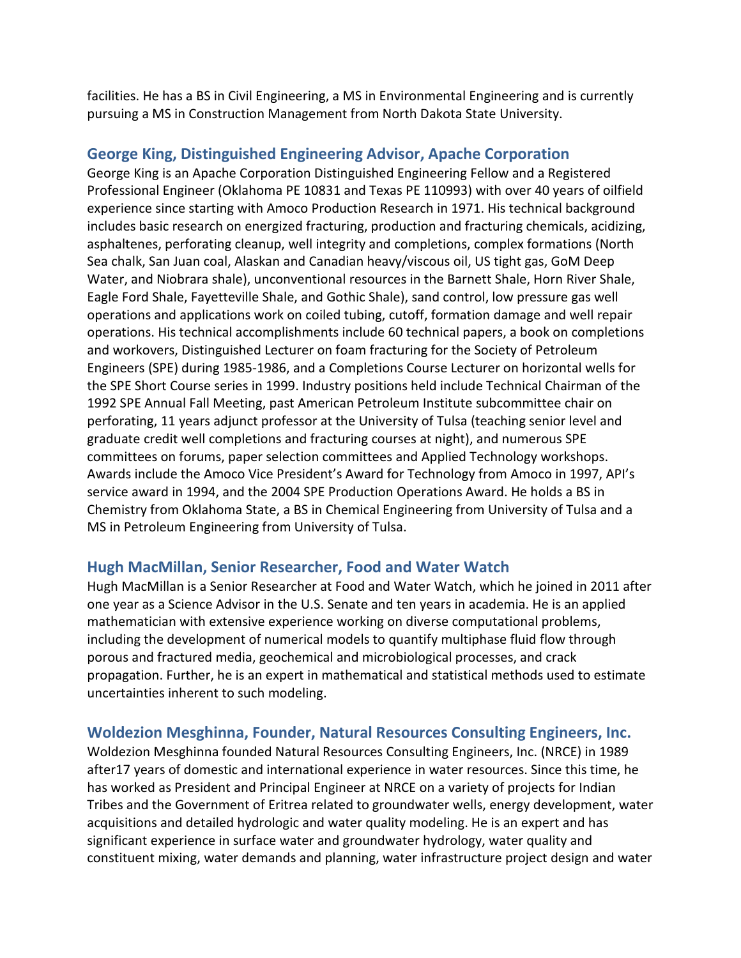facilities. He has a BS in Civil Engineering, a MS in Environmental Engineering and is currently pursuing a MS in Construction Management from North Dakota State University.

### **George King, Distinguished Engineering Advisor, Apache Corporation**

George King is an Apache Corporation Distinguished Engineering Fellow and a Registered Professional Engineer (Oklahoma PE 10831 and Texas PE 110993) with over 40 years of oilfield experience since starting with Amoco Production Research in 1971. His technical background includes basic research on energized fracturing, production and fracturing chemicals, acidizing, asphaltenes, perforating cleanup, well integrity and completions, complex formations (North Sea chalk, San Juan coal, Alaskan and Canadian heavy/viscous oil, US tight gas, GoM Deep Water, and Niobrara shale), unconventional resources in the Barnett Shale, Horn River Shale, Eagle Ford Shale, Fayetteville Shale, and Gothic Shale), sand control, low pressure gas well operations and applications work on coiled tubing, cutoff, formation damage and well repair operations. His technical accomplishments include 60 technical papers, a book on completions and workovers, Distinguished Lecturer on foam fracturing for the Society of Petroleum Engineers (SPE) during 1985-1986, and a Completions Course Lecturer on horizontal wells for the SPE Short Course series in 1999. Industry positions held include Technical Chairman of the 1992 SPE Annual Fall Meeting, past American Petroleum Institute subcommittee chair on perforating, 11 years adjunct professor at the University of Tulsa (teaching senior level and graduate credit well completions and fracturing courses at night), and numerous SPE committees on forums, paper selection committees and Applied Technology workshops. Awards include the Amoco Vice President's Award for Technology from Amoco in 1997, API's service award in 1994, and the 2004 SPE Production Operations Award. He holds a BS in Chemistry from Oklahoma State, a BS in Chemical Engineering from University of Tulsa and a MS in Petroleum Engineering from University of Tulsa.

### **Hugh MacMillan, Senior Researcher, Food and Water Watch**

Hugh MacMillan is a Senior Researcher at Food and Water Watch, which he joined in 2011 after one year as a Science Advisor in the U.S. Senate and ten years in academia. He is an applied mathematician with extensive experience working on diverse computational problems, including the development of numerical models to quantify multiphase fluid flow through porous and fractured media, geochemical and microbiological processes, and crack propagation. Further, he is an expert in mathematical and statistical methods used to estimate uncertainties inherent to such modeling.

## **Woldezion Mesghinna, Founder, Natural Resources Consulting Engineers, Inc.**

Woldezion Mesghinna founded Natural Resources Consulting Engineers, Inc. (NRCE) in 1989 after17 years of domestic and international experience in water resources. Since this time, he has worked as President and Principal Engineer at NRCE on a variety of projects for Indian Tribes and the Government of Eritrea related to groundwater wells, energy development, water acquisitions and detailed hydrologic and water quality modeling. He is an expert and has significant experience in surface water and groundwater hydrology, water quality and constituent mixing, water demands and planning, water infrastructure project design and water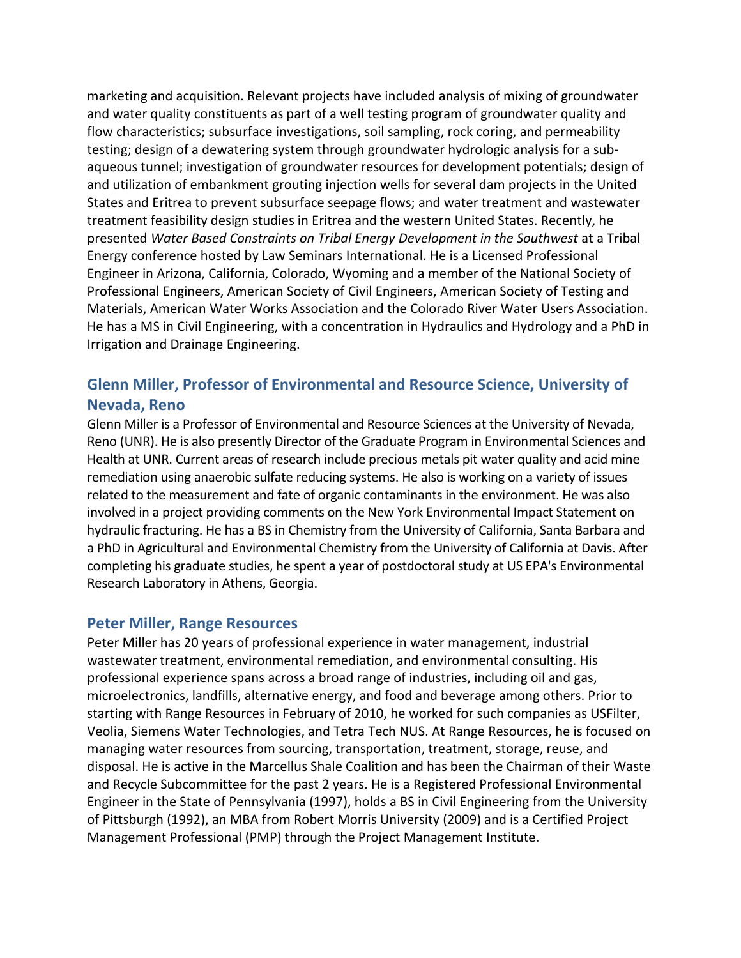marketing and acquisition. Relevant projects have included analysis of mixing of groundwater and water quality constituents as part of a well testing program of groundwater quality and flow characteristics; subsurface investigations, soil sampling, rock coring, and permeability testing; design of a dewatering system through groundwater hydrologic analysis for a subaqueous tunnel; investigation of groundwater resources for development potentials; design of and utilization of embankment grouting injection wells for several dam projects in the United States and Eritrea to prevent subsurface seepage flows; and water treatment and wastewater treatment feasibility design studies in Eritrea and the western United States. Recently, he presented *Water Based Constraints on Tribal Energy Development in the Southwest* at a Tribal Energy conference hosted by Law Seminars International. He is a Licensed Professional Engineer in Arizona, California, Colorado, Wyoming and a member of the National Society of Professional Engineers, American Society of Civil Engineers, American Society of Testing and Materials, American Water Works Association and the Colorado River Water Users Association. He has a MS in Civil Engineering, with a concentration in Hydraulics and Hydrology and a PhD in Irrigation and Drainage Engineering.

# **Glenn Miller, Professor of Environmental and Resource Science, University of Nevada, Reno**

Glenn Miller is a Professor of Environmental and Resource Sciences at the University of Nevada, Reno (UNR). He is also presently Director of the Graduate Program in Environmental Sciences and Health at UNR. Current areas of research include precious metals pit water quality and acid mine remediation using anaerobic sulfate reducing systems. He also is working on a variety of issues related to the measurement and fate of organic contaminants in the environment. He was also involved in a project providing comments on the New York Environmental Impact Statement on hydraulic fracturing. He has a BS in Chemistry from the University of California, Santa Barbara and a PhD in Agricultural and Environmental Chemistry from the University of California at Davis. After completing his graduate studies, he spent a year of postdoctoral study at US EPA's Environmental Research Laboratory in Athens, Georgia.

#### **Peter Miller, Range Resources**

Peter Miller has 20 years of professional experience in water management, industrial wastewater treatment, environmental remediation, and environmental consulting. His professional experience spans across a broad range of industries, including oil and gas, microelectronics, landfills, alternative energy, and food and beverage among others. Prior to starting with Range Resources in February of 2010, he worked for such companies as USFilter, Veolia, Siemens Water Technologies, and Tetra Tech NUS. At Range Resources, he is focused on managing water resources from sourcing, transportation, treatment, storage, reuse, and disposal. He is active in the Marcellus Shale Coalition and has been the Chairman of their Waste and Recycle Subcommittee for the past 2 years. He is a Registered Professional Environmental Engineer in the State of Pennsylvania (1997), holds a BS in Civil Engineering from the University of Pittsburgh (1992), an MBA from Robert Morris University (2009) and is a Certified Project Management Professional (PMP) through the Project Management Institute.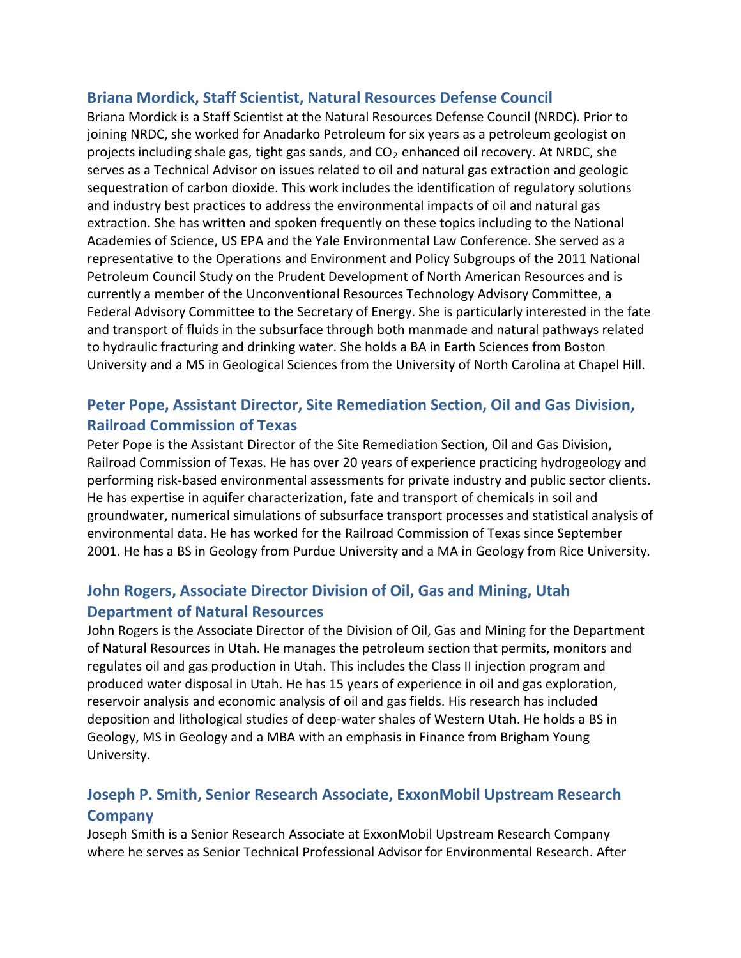### **Briana Mordick, Staff Scientist, Natural Resources Defense Council**

Briana Mordick is a Staff Scientist at the Natural Resources Defense Council (NRDC). Prior to joining NRDC, she worked for Anadarko Petroleum for six years as a petroleum geologist on projects including shale gas, tight gas sands, and  $CO<sub>2</sub>$  enhanced oil recovery. At NRDC, she serves as a Technical Advisor on issues related to oil and natural gas extraction and geologic sequestration of carbon dioxide. This work includes the identification of regulatory solutions and industry best practices to address the environmental impacts of oil and natural gas extraction. She has written and spoken frequently on these topics including to the National Academies of Science, US EPA and the Yale Environmental Law Conference. She served as a representative to the Operations and Environment and Policy Subgroups of the 2011 National Petroleum Council Study on the Prudent Development of North American Resources and is currently a member of the Unconventional Resources Technology Advisory Committee, a Federal Advisory Committee to the Secretary of Energy. She is particularly interested in the fate and transport of fluids in the subsurface through both manmade and natural pathways related to hydraulic fracturing and drinking water. She holds a BA in Earth Sciences from Boston University and a MS in Geological Sciences from the University of North Carolina at Chapel Hill.

# **Peter Pope, Assistant Director, Site Remediation Section, Oil and Gas Division, Railroad Commission of Texas**

Peter Pope is the Assistant Director of the Site Remediation Section, Oil and Gas Division, Railroad Commission of Texas. He has over 20 years of experience practicing hydrogeology and performing risk-based environmental assessments for private industry and public sector clients. He has expertise in aquifer characterization, fate and transport of chemicals in soil and groundwater, numerical simulations of subsurface transport processes and statistical analysis of environmental data. He has worked for the Railroad Commission of Texas since September 2001. He has a BS in Geology from Purdue University and a MA in Geology from Rice University.

# **John Rogers, Associate Director Division of Oil, Gas and Mining, Utah Department of Natural Resources**

John Rogers is the Associate Director of the Division of Oil, Gas and Mining for the Department of Natural Resources in Utah. He manages the petroleum section that permits, monitors and regulates oil and gas production in Utah. This includes the Class II injection program and produced water disposal in Utah. He has 15 years of experience in oil and gas exploration, reservoir analysis and economic analysis of oil and gas fields. His research has included deposition and lithological studies of deep-water shales of Western Utah. He holds a BS in Geology, MS in Geology and a MBA with an emphasis in Finance from Brigham Young University.

## **Joseph P. Smith, Senior Research Associate, ExxonMobil Upstream Research Company**

Joseph Smith is a Senior Research Associate at ExxonMobil Upstream Research Company where he serves as Senior Technical Professional Advisor for Environmental Research. After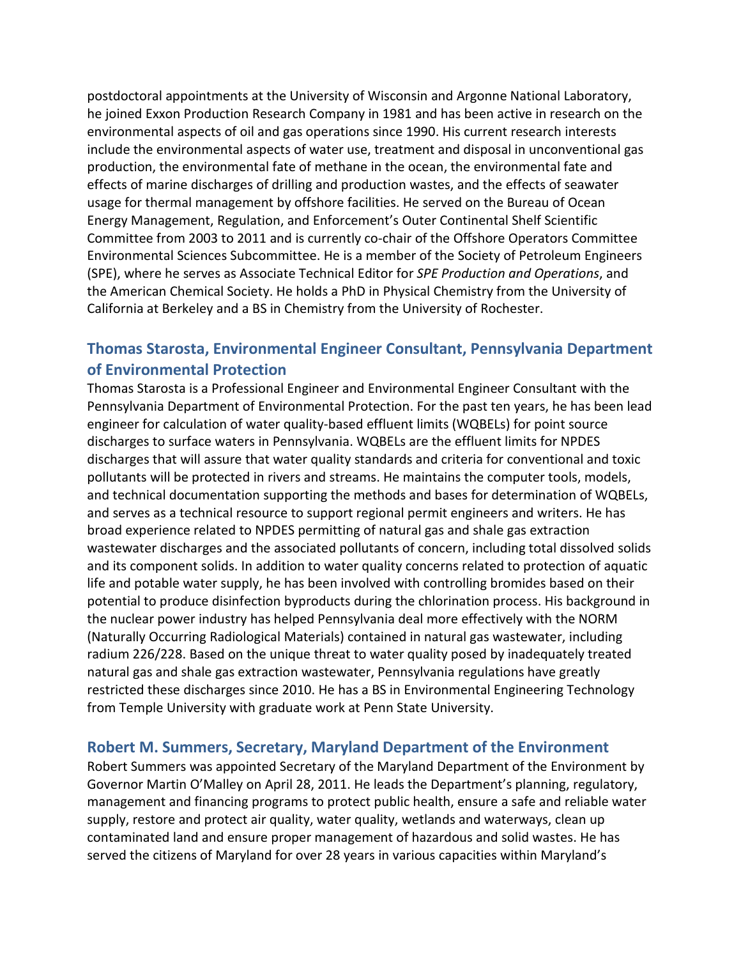postdoctoral appointments at the University of Wisconsin and Argonne National Laboratory, he joined Exxon Production Research Company in 1981 and has been active in research on the environmental aspects of oil and gas operations since 1990. His current research interests include the environmental aspects of water use, treatment and disposal in unconventional gas production, the environmental fate of methane in the ocean, the environmental fate and effects of marine discharges of drilling and production wastes, and the effects of seawater usage for thermal management by offshore facilities. He served on the Bureau of Ocean Energy Management, Regulation, and Enforcement's Outer Continental Shelf Scientific Committee from 2003 to 2011 and is currently co-chair of the Offshore Operators Committee Environmental Sciences Subcommittee. He is a member of the Society of Petroleum Engineers (SPE), where he serves as Associate Technical Editor for *SPE Production and Operations*, and the American Chemical Society. He holds a PhD in Physical Chemistry from the University of California at Berkeley and a BS in Chemistry from the University of Rochester.

## **Thomas Starosta, Environmental Engineer Consultant, Pennsylvania Department of Environmental Protection**

Thomas Starosta is a Professional Engineer and Environmental Engineer Consultant with the Pennsylvania Department of Environmental Protection. For the past ten years, he has been lead engineer for calculation of water quality-based effluent limits (WQBELs) for point source discharges to surface waters in Pennsylvania. WQBELs are the effluent limits for NPDES discharges that will assure that water quality standards and criteria for conventional and toxic pollutants will be protected in rivers and streams. He maintains the computer tools, models, and technical documentation supporting the methods and bases for determination of WQBELs, and serves as a technical resource to support regional permit engineers and writers. He has broad experience related to NPDES permitting of natural gas and shale gas extraction wastewater discharges and the associated pollutants of concern, including total dissolved solids and its component solids. In addition to water quality concerns related to protection of aquatic life and potable water supply, he has been involved with controlling bromides based on their potential to produce disinfection byproducts during the chlorination process. His background in the nuclear power industry has helped Pennsylvania deal more effectively with the NORM (Naturally Occurring Radiological Materials) contained in natural gas wastewater, including radium 226/228. Based on the unique threat to water quality posed by inadequately treated natural gas and shale gas extraction wastewater, Pennsylvania regulations have greatly restricted these discharges since 2010. He has a BS in Environmental Engineering Technology from Temple University with graduate work at Penn State University.

### **Robert M. Summers, Secretary, Maryland Department of the Environment**

Robert Summers was appointed Secretary of the Maryland Department of the Environment by Governor Martin O'Malley on April 28, 2011. He leads the Department's planning, regulatory, management and financing programs to protect public health, ensure a safe and reliable water supply, restore and protect air quality, water quality, wetlands and waterways, clean up contaminated land and ensure proper management of hazardous and solid wastes. He has served the citizens of Maryland for over 28 years in various capacities within Maryland's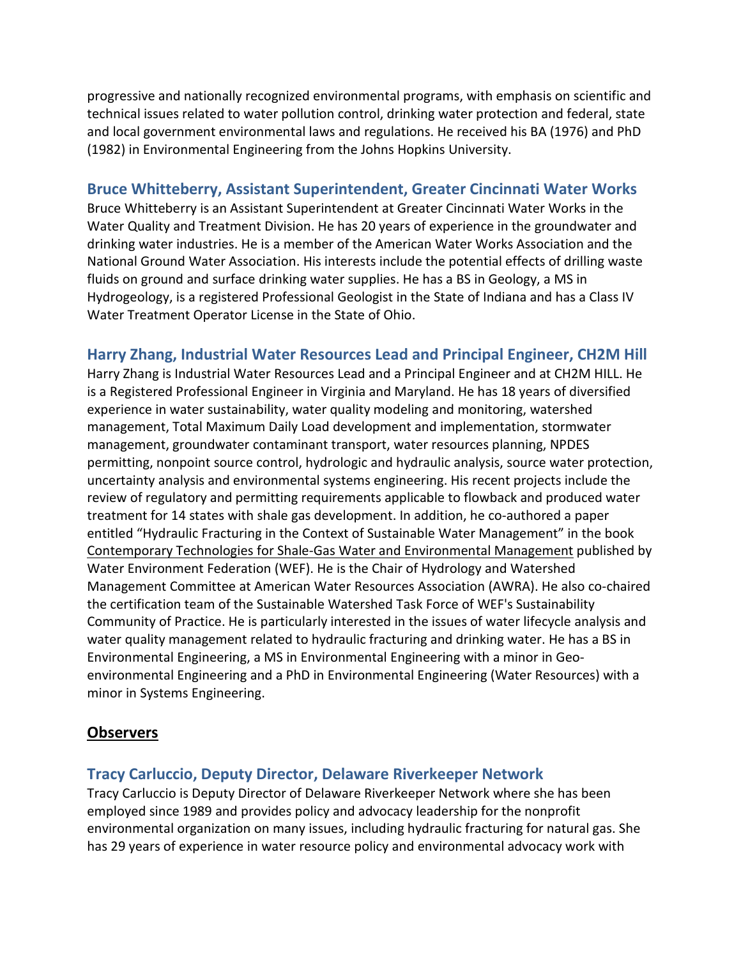progressive and nationally recognized environmental programs, with emphasis on scientific and technical issues related to water pollution control, drinking water protection and federal, state and local government environmental laws and regulations. He received his BA (1976) and PhD (1982) in Environmental Engineering from the Johns Hopkins University.

### **Bruce Whitteberry, Assistant Superintendent, Greater Cincinnati Water Works**

Bruce Whitteberry is an Assistant Superintendent at Greater Cincinnati Water Works in the Water Quality and Treatment Division. He has 20 years of experience in the groundwater and drinking water industries. He is a member of the American Water Works Association and the National Ground Water Association. His interests include the potential effects of drilling waste fluids on ground and surface drinking water supplies. He has a BS in Geology, a MS in Hydrogeology, is a registered Professional Geologist in the State of Indiana and has a Class IV Water Treatment Operator License in the State of Ohio.

### **Harry Zhang, Industrial Water Resources Lead and Principal Engineer, CH2M Hill**

Harry Zhang is Industrial Water Resources Lead and a Principal Engineer and at CH2M HILL. He is a Registered Professional Engineer in Virginia and Maryland. He has 18 years of diversified experience in water sustainability, water quality modeling and monitoring, watershed management, Total Maximum Daily Load development and implementation, stormwater management, groundwater contaminant transport, water resources planning, NPDES permitting, nonpoint source control, hydrologic and hydraulic analysis, source water protection, uncertainty analysis and environmental systems engineering. His recent projects include the review of regulatory and permitting requirements applicable to flowback and produced water treatment for 14 states with shale gas development. In addition, he co-authored a paper entitled "Hydraulic Fracturing in the Context of Sustainable Water Management" in the book Contemporary Technologies for Shale-Gas Water and Environmental Management published by Water Environment Federation (WEF). He is the Chair of Hydrology and Watershed Management Committee at American Water Resources Association (AWRA). He also co-chaired the certification team of the Sustainable Watershed Task Force of WEF's Sustainability Community of Practice. He is particularly interested in the issues of water lifecycle analysis and water quality management related to hydraulic fracturing and drinking water. He has a BS in Environmental Engineering, a MS in Environmental Engineering with a minor in Geoenvironmental Engineering and a PhD in Environmental Engineering (Water Resources) with a minor in Systems Engineering.

### **Observers**

### **Tracy Carluccio, Deputy Director, Delaware Riverkeeper Network**

Tracy Carluccio is Deputy Director of Delaware Riverkeeper Network where she has been employed since 1989 and provides policy and advocacy leadership for the nonprofit environmental organization on many issues, including hydraulic fracturing for natural gas. She has 29 years of experience in water resource policy and environmental advocacy work with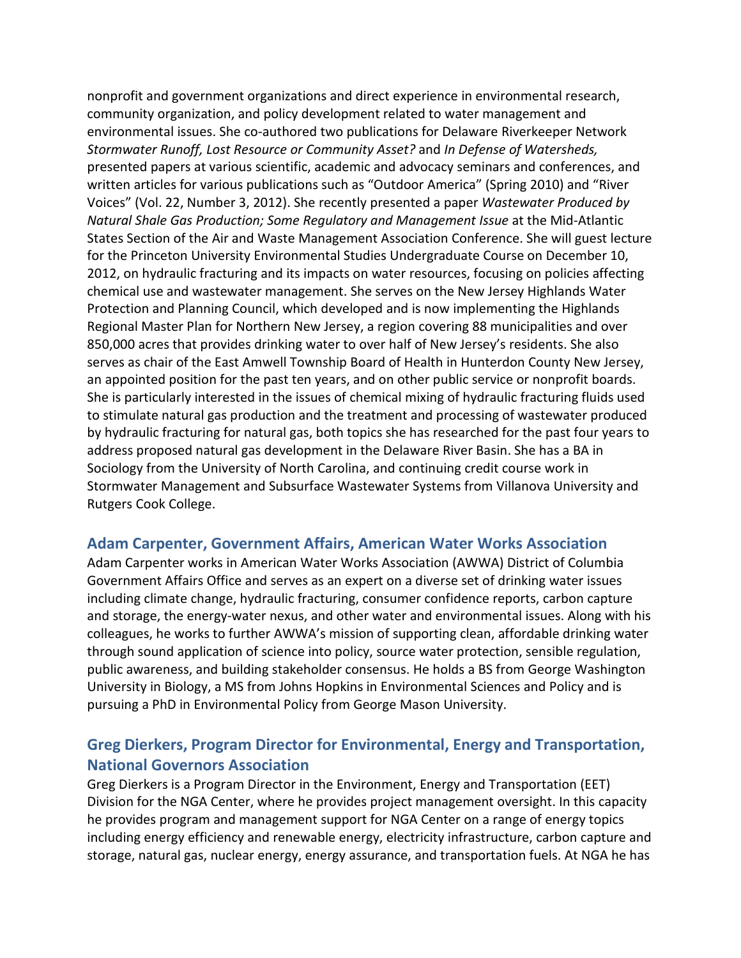nonprofit and government organizations and direct experience in environmental research, community organization, and policy development related to water management and environmental issues. She co-authored two publications for Delaware Riverkeeper Network *Stormwater Runoff, Lost Resource or Community Asset?* and *In Defense of Watersheds,* presented papers at various scientific, academic and advocacy seminars and conferences, and written articles for various publications such as "Outdoor America" (Spring 2010) and "River Voices" (Vol. 22, Number 3, 2012). She recently presented a paper *Wastewater Produced by Natural Shale Gas Production; Some Regulatory and Management Issue* at the Mid-Atlantic States Section of the Air and Waste Management Association Conference. She will guest lecture for the Princeton University Environmental Studies Undergraduate Course on December 10, 2012, on hydraulic fracturing and its impacts on water resources, focusing on policies affecting chemical use and wastewater management. She serves on the New Jersey Highlands Water Protection and Planning Council, which developed and is now implementing the Highlands Regional Master Plan for Northern New Jersey, a region covering 88 municipalities and over 850,000 acres that provides drinking water to over half of New Jersey's residents. She also serves as chair of the East Amwell Township Board of Health in Hunterdon County New Jersey, an appointed position for the past ten years, and on other public service or nonprofit boards. She is particularly interested in the issues of chemical mixing of hydraulic fracturing fluids used to stimulate natural gas production and the treatment and processing of wastewater produced by hydraulic fracturing for natural gas, both topics she has researched for the past four years to address proposed natural gas development in the Delaware River Basin. She has a BA in Sociology from the University of North Carolina, and continuing credit course work in Stormwater Management and Subsurface Wastewater Systems from Villanova University and Rutgers Cook College.

#### **Adam Carpenter, Government Affairs, American Water Works Association**

Adam Carpenter works in American Water Works Association (AWWA) District of Columbia Government Affairs Office and serves as an expert on a diverse set of drinking water issues including climate change, hydraulic fracturing, consumer confidence reports, carbon capture and storage, the energy-water nexus, and other water and environmental issues. Along with his colleagues, he works to further AWWA's mission of supporting clean, affordable drinking water through sound application of science into policy, source water protection, sensible regulation, public awareness, and building stakeholder consensus. He holds a BS from George Washington University in Biology, a MS from Johns Hopkins in Environmental Sciences and Policy and is pursuing a PhD in Environmental Policy from George Mason University.

## **Greg Dierkers, Program Director for Environmental, Energy and Transportation, National Governors Association**

Greg Dierkers is a Program Director in the Environment, Energy and Transportation (EET) Division for the NGA Center, where he provides project management oversight. In this capacity he provides program and management support for NGA Center on a range of energy topics including energy efficiency and renewable energy, electricity infrastructure, carbon capture and storage, natural gas, nuclear energy, energy assurance, and transportation fuels. At NGA he has